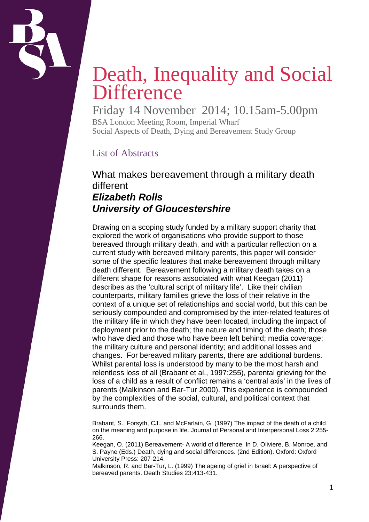

# Death, Inequality and Social **Difference**

Friday 14 November 2014; 10.15am-5.00pm BSA London Meeting Room, Imperial Wharf Social Aspects of Death, Dying and Bereavement Study Group

# List of Abstracts

What makes bereavement through a military death different *Elizabeth Rolls University of Gloucestershire*

Drawing on a scoping study funded by a military support charity that explored the work of organisations who provide support to those bereaved through military death, and with a particular reflection on a current study with bereaved military parents, this paper will consider some of the specific features that make bereavement through military death different. Bereavement following a military death takes on a different shape for reasons associated with what Keegan (2011) describes as the 'cultural script of military life'. Like their civilian counterparts, military families grieve the loss of their relative in the context of a unique set of relationships and social world, but this can be seriously compounded and compromised by the inter-related features of the military life in which they have been located, including the impact of deployment prior to the death; the nature and timing of the death; those who have died and those who have been left behind; media coverage; the military culture and personal identity; and additional losses and changes. For bereaved military parents, there are additional burdens. Whilst parental loss is understood by many to be the most harsh and relentless loss of all (Brabant et al., 1997:255), parental grieving for the loss of a child as a result of conflict remains a 'central axis' in the lives of parents (Malkinson and Bar-Tur 2000). This experience is compounded by the complexities of the social, cultural, and political context that surrounds them.

Brabant, S., Forsyth, CJ., and McFarlain, G. (1997) The impact of the death of a child on the meaning and purpose in life. Journal of Personal and Interpersonal Loss 2:255- 266.

Keegan, O. (2011) Bereavement- A world of difference. In D. Oliviere, B. Monroe, and S. Payne (Eds.) Death, dying and social differences. (2nd Edition). Oxford: Oxford University Press: 207-214.

Malkinson, R. and Bar-Tur, L. (1999) The ageing of grief in Israel: A perspective of bereaved parents. Death Studies 23:413-431.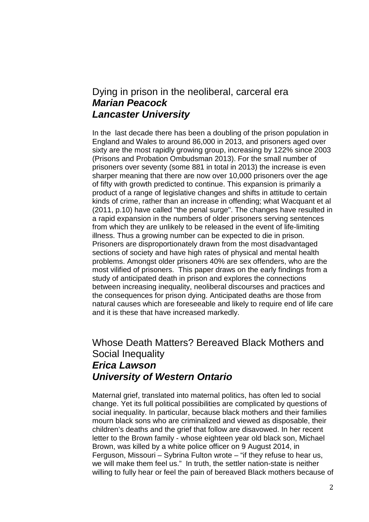#### Dying in prison in the neoliberal, carceral era *Marian Peacock Lancaster University*

In the last decade there has been a doubling of the prison population in England and Wales to around 86,000 in 2013, and prisoners aged over sixty are the most rapidly growing group, increasing by 122% since 2003 (Prisons and Probation Ombudsman 2013). For the small number of prisoners over seventy (some 881 in total in 2013) the increase is even sharper meaning that there are now over 10,000 prisoners over the age of fifty with growth predicted to continue. This expansion is primarily a product of a range of legislative changes and shifts in attitude to certain kinds of crime, rather than an increase in offending; what Wacquant et al (2011, p.10) have called "the penal surge". The changes have resulted in a rapid expansion in the numbers of older prisoners serving sentences from which they are unlikely to be released in the event of life-limiting illness. Thus a growing number can be expected to die in prison. Prisoners are disproportionately drawn from the most disadvantaged sections of society and have high rates of physical and mental health problems. Amongst older prisoners 40% are sex offenders, who are the most vilified of prisoners. This paper draws on the early findings from a study of anticipated death in prison and explores the connections between increasing inequality, neoliberal discourses and practices and the consequences for prison dying. Anticipated deaths are those from natural causes which are foreseeable and likely to require end of life care and it is these that have increased markedly.

### Whose Death Matters? Bereaved Black Mothers and Social Inequality *Erica Lawson University of Western Ontario*

Maternal grief, translated into maternal politics, has often led to social change. Yet its full political possibilities are complicated by questions of social inequality. In particular, because black mothers and their families mourn black sons who are criminalized and viewed as disposable, their children's deaths and the grief that follow are disavowed. In her recent letter to the Brown family - whose eighteen year old black son, Michael Brown, was killed by a white police officer on 9 August 2014, in Ferguson, Missouri – Sybrina Fulton wrote – "if they refuse to hear us, we will make them feel us." In truth, the settler nation-state is neither willing to fully hear or feel the pain of bereaved Black mothers because of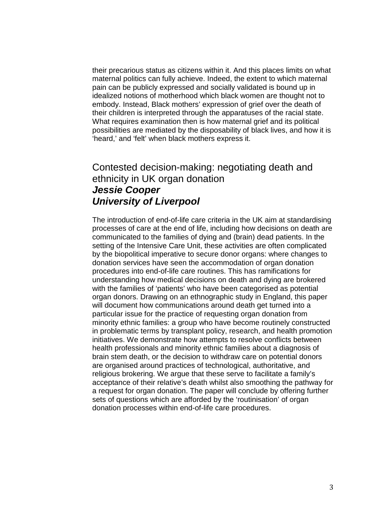their precarious status as citizens within it. And this places limits on what maternal politics can fully achieve. Indeed, the extent to which maternal pain can be publicly expressed and socially validated is bound up in idealized notions of motherhood which black women are thought not to embody. Instead, Black mothers' expression of grief over the death of their children is interpreted through the apparatuses of the racial state. What requires examination then is how maternal grief and its political possibilities are mediated by the disposability of black lives, and how it is 'heard,' and 'felt' when black mothers express it.

#### Contested decision-making: negotiating death and ethnicity in UK organ donation *Jessie Cooper University of Liverpool*

The introduction of end-of-life care criteria in the UK aim at standardising processes of care at the end of life, including how decisions on death are communicated to the families of dying and (brain) dead patients. In the setting of the Intensive Care Unit, these activities are often complicated by the biopolitical imperative to secure donor organs: where changes to donation services have seen the accommodation of organ donation procedures into end-of-life care routines. This has ramifications for understanding how medical decisions on death and dying are brokered with the families of 'patients' who have been categorised as potential organ donors. Drawing on an ethnographic study in England, this paper will document how communications around death get turned into a particular issue for the practice of requesting organ donation from minority ethnic families: a group who have become routinely constructed in problematic terms by transplant policy, research, and health promotion initiatives. We demonstrate how attempts to resolve conflicts between health professionals and minority ethnic families about a diagnosis of brain stem death, or the decision to withdraw care on potential donors are organised around practices of technological, authoritative, and religious brokering. We argue that these serve to facilitate a family's acceptance of their relative's death whilst also smoothing the pathway for a request for organ donation. The paper will conclude by offering further sets of questions which are afforded by the 'routinisation' of organ donation processes within end-of-life care procedures.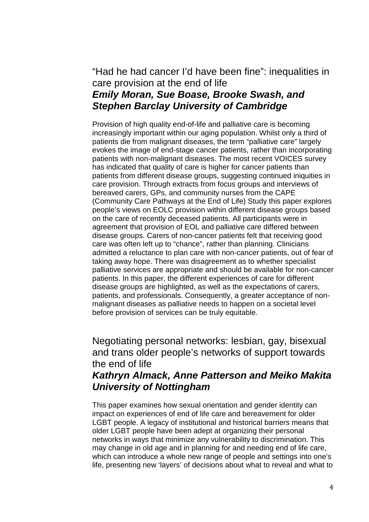## "Had he had cancer I'd have been fine": inequalities in care provision at the end of life

## *Emily Moran, Sue Boase, Brooke Swash, and Stephen Barclay University of Cambridge*

Provision of high quality end-of-life and palliative care is becoming increasingly important within our aging population. Whilst only a third of patients die from malignant diseases, the term "palliative care" largely evokes the image of end-stage cancer patients, rather than incorporating patients with non-malignant diseases. The most recent VOICES survey has indicated that quality of care is higher for cancer patients than patients from different disease groups, suggesting continued iniquities in care provision. Through extracts from focus groups and interviews of bereaved carers, GPs, and community nurses from the CAPE (Community Care Pathways at the End of Life) Study this paper explores people's views on EOLC provision within different disease groups based on the care of recently deceased patients. All participants were in agreement that provision of EOL and palliative care differed between disease groups. Carers of non-cancer patients felt that receiving good care was often left up to "chance", rather than planning. Clinicians admitted a reluctance to plan care with non-cancer patients, out of fear of taking away hope. There was disagreement as to whether specialist palliative services are appropriate and should be available for non-cancer patients. In this paper, the different experiences of care for different disease groups are highlighted, as well as the expectations of carers, patients, and professionals. Consequently, a greater acceptance of nonmalignant diseases as palliative needs to happen on a societal level before provision of services can be truly equitable.

Negotiating personal networks: lesbian, gay, bisexual and trans older people's networks of support towards the end of life

### *Kathryn Almack, Anne Patterson and Meiko Makita University of Nottingham*

This paper examines how sexual orientation and gender identity can impact on experiences of end of life care and bereavement for older LGBT people. A legacy of institutional and historical barriers means that older LGBT people have been adept at organizing their personal networks in ways that minimize any vulnerability to discrimination. This may change in old age and in planning for and needing end of life care, which can introduce a whole new range of people and settings into one's life, presenting new 'layers' of decisions about what to reveal and what to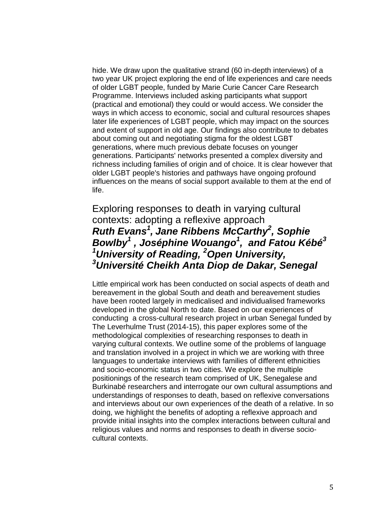hide. We draw upon the qualitative strand (60 in-depth interviews) of a two year UK project exploring the end of life experiences and care needs of older LGBT people, funded by Marie Curie Cancer Care Research Programme. Interviews included asking participants what support (practical and emotional) they could or would access. We consider the ways in which access to economic, social and cultural resources shapes later life experiences of LGBT people, which may impact on the sources and extent of support in old age. Our findings also contribute to debates about coming out and negotiating stigma for the oldest LGBT generations, where much previous debate focuses on younger generations. Participants' networks presented a complex diversity and richness including families of origin and of choice. It is clear however that older LGBT people's histories and pathways have ongoing profound influences on the means of social support available to them at the end of life.

## Exploring responses to death in varying cultural contexts: adopting a reflexive approach *Ruth Evans<sup>1</sup> , Jane Ribbens McCarthy<sup>2</sup> , Sophie Bowlby<sup>1</sup> , Joséphine Wouango<sup>1</sup> , and Fatou Kébé<sup>3</sup> 1 University of Reading, 2 Open University, 3 Université Cheikh Anta Diop de Dakar, Senegal*

Little empirical work has been conducted on social aspects of death and bereavement in the global South and death and bereavement studies have been rooted largely in medicalised and individualised frameworks developed in the global North to date. Based on our experiences of conducting a cross-cultural research project in urban Senegal funded by The Leverhulme Trust (2014-15), this paper explores some of the methodological complexities of researching responses to death in varying cultural contexts. We outline some of the problems of language and translation involved in a project in which we are working with three languages to undertake interviews with families of different ethnicities and socio-economic status in two cities. We explore the multiple positionings of the research team comprised of UK, Senegalese and Burkinabé researchers and interrogate our own cultural assumptions and understandings of responses to death, based on reflexive conversations and interviews about our own experiences of the death of a relative. In so doing, we highlight the benefits of adopting a reflexive approach and provide initial insights into the complex interactions between cultural and religious values and norms and responses to death in diverse sociocultural contexts.